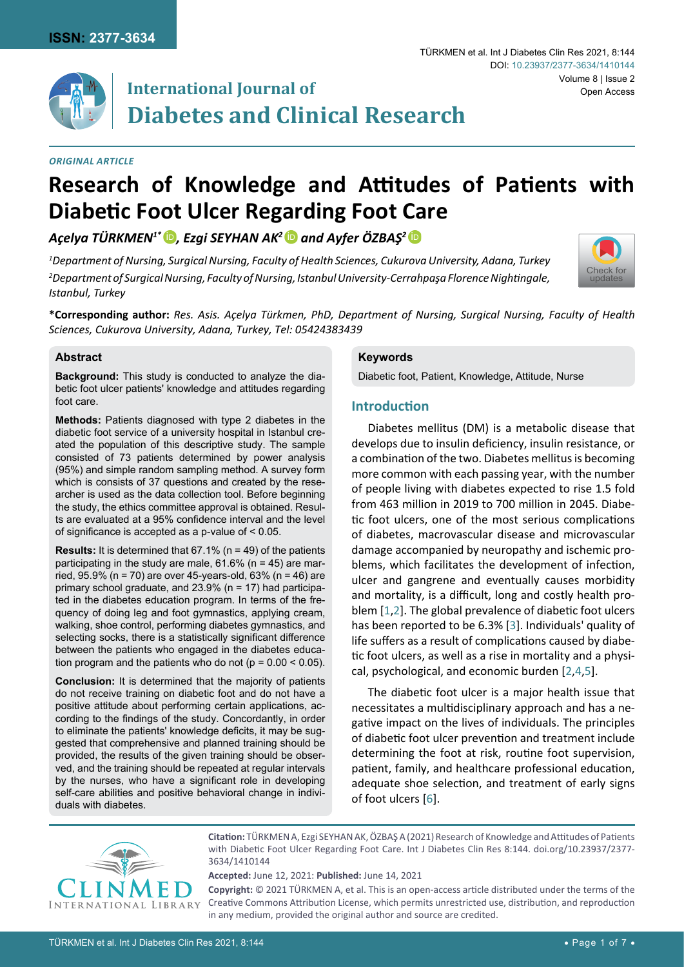

# **International Journal of Diabetes and Clinical Research**

*1 Department of Nursing, Surgical Nursing, Faculty of Health Sciences, Cukurova University, Adana, Turkey*

**Diabetic Foot Ulcer Regarding Foot Care**

*Açelya TÜRKMEN1\** [iD](https://orcid.org/0000-0002-3072-9463) *, Ezgi SEYHAN AK2* [iD](https://orcid.org/0000-0002-3679-539X) *and Ayfer ÖZBAŞ<sup>2</sup>*[iD](https://orcid.org/0000-0003-0924-5752)

#### *Original Article*

#### TÜRKMEN et al. Int J Diabetes Clin Res 2021, 8:144 Volume 8 | Issue 2 DOI: [10.23937/2377-3634/1410144](https://doi.org/10.23937/2377-3634/1410144) Open Access



*2 Department of Surgical Nursing, Faculty of Nursing, Istanbul University-Cerrahpaşa Florence Nightingale, Istanbul, Turkey*

**Research of Knowledge and Attitudes of Patients with** 

**\*Corresponding author:** *Res. Asis. Açelya Türkmen, PhD, Department of Nursing, Surgical Nursing, Faculty of Health Sciences, Cukurova University, Adana, Turkey, Tel: 05424383439*

#### **Abstract**

**Background:** This study is conducted to analyze the diabetic foot ulcer patients' knowledge and attitudes regarding foot care.

**Methods:** Patients diagnosed with type 2 diabetes in the diabetic foot service of a university hospital in Istanbul created the population of this descriptive study. The sample consisted of 73 patients determined by power analysis (95%) and simple random sampling method. A survey form which is consists of 37 questions and created by the researcher is used as the data collection tool. Before beginning the study, the ethics committee approval is obtained. Results are evaluated at a 95% confidence interval and the level of significance is accepted as a p-value of < 0.05.

**Results:** It is determined that 67.1% (n = 49) of the patients participating in the study are male,  $61.6\%$  (n = 45) are married, 95.9% (n = 70) are over 45-years-old, 63% (n = 46) are primary school graduate, and 23.9% (n = 17) had participated in the diabetes education program. In terms of the frequency of doing leg and foot gymnastics, applying cream, walking, shoe control, performing diabetes gymnastics, and selecting socks, there is a statistically significant difference between the patients who engaged in the diabetes education program and the patients who do not ( $p = 0.00 < 0.05$ ).

**Conclusion:** It is determined that the majority of patients do not receive training on diabetic foot and do not have a positive attitude about performing certain applications, according to the findings of the study. Concordantly, in order to eliminate the patients' knowledge deficits, it may be suggested that comprehensive and planned training should be provided, the results of the given training should be observed, and the training should be repeated at regular intervals by the nurses, who have a significant role in developing self-care abilities and positive behavioral change in individuals with diabetes.

## **Keywords**

Diabetic foot, Patient, Knowledge, Attitude, Nurse

## **Introduction**

Diabetes mellitus (DM) is a metabolic disease that develops due to insulin deficiency, insulin resistance, or a combination of the two. Diabetes mellitus is becoming more common with each passing year, with the number of people living with diabetes expected to rise 1.5 fold from 463 million in 2019 to 700 million in 2045. Diabetic foot ulcers, one of the most serious complications of diabetes, macrovascular disease and microvascular damage accompanied by neuropathy and ischemic problems, which facilitates the development of infection, ulcer and gangrene and eventually causes morbidity and mortality, is a difficult, long and costly health problem [\[1](#page-5-0),[2](#page-5-1)]. The global prevalence of diabetic foot ulcers has been reported to be 6.3% [[3](#page-5-2)]. Individuals' quality of life suffers as a result of complications caused by diabetic foot ulcers, as well as a rise in mortality and a physical, psychological, and economic burden [\[2](#page-5-1),[4](#page-5-3),[5\]](#page-5-4).

The diabetic foot ulcer is a major health issue that necessitates a multidisciplinary approach and has a negative impact on the lives of individuals. The principles of diabetic foot ulcer prevention and treatment include determining the foot at risk, routine foot supervision, patient, family, and healthcare professional education, adequate shoe selection, and treatment of early signs of foot ulcers [\[6\]](#page-5-5).



**Citation:** TÜRKMEN A, Ezgi SEYHAN AK, ÖZBAŞ A (2021) Research of Knowledge and Attitudes of Patients with Diabetic Foot Ulcer Regarding Foot Care. Int J Diabetes Clin Res 8:144. [doi.org/10.23937/2377-](https://doi.org/10.23937/2377-3634/1410144) [3634/1410144](https://doi.org/10.23937/2377-3634/1410144)

**Accepted:** June 12, 2021: **Published:** June 14, 2021

**Copyright:** © 2021 TÜRKMEN A, et al. This is an open-access article distributed under the terms of the Creative Commons Attribution License, which permits unrestricted use, distribution, and reproduction in any medium, provided the original author and source are credited.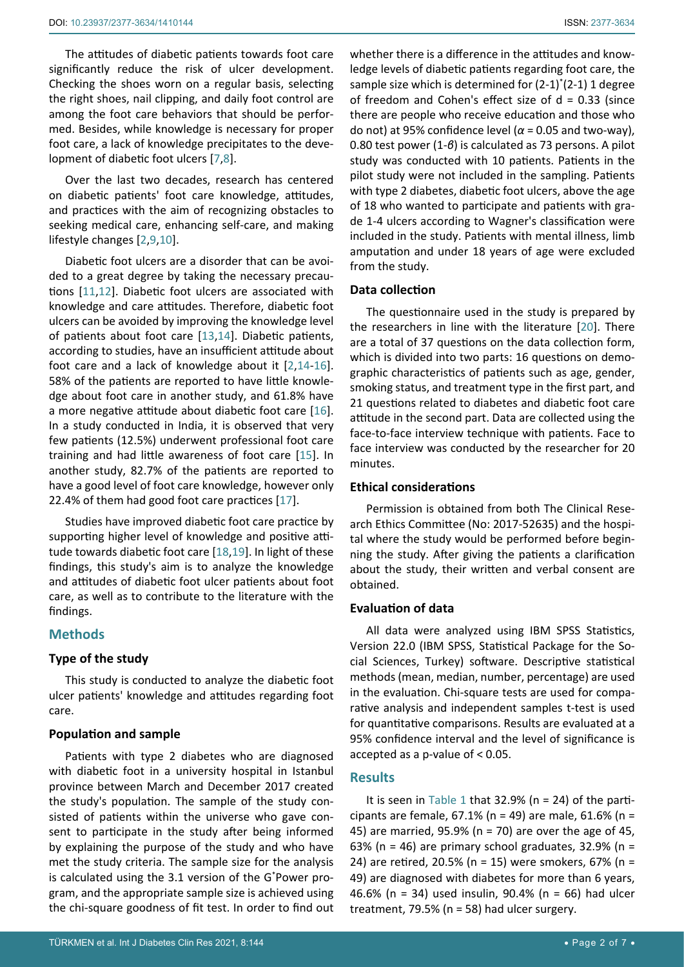The attitudes of diabetic patients towards foot care significantly reduce the risk of ulcer development. Checking the shoes worn on a regular basis, selecting the right shoes, nail clipping, and daily foot control are among the foot care behaviors that should be performed. Besides, while knowledge is necessary for proper foot care, a lack of knowledge precipitates to the development of diabetic foot ulcers [\[7](#page-5-6),[8](#page-5-7)].

Over the last two decades, research has centered on diabetic patients' foot care knowledge, attitudes, and practices with the aim of recognizing obstacles to seeking medical care, enhancing self-care, and making lifestyle changes [\[2](#page-5-1),[9](#page-6-1),[10\]](#page-6-2).

Diabetic foot ulcers are a disorder that can be avoided to a great degree by taking the necessary precautions [[11](#page-6-3),[12\]](#page-6-4). Diabetic foot ulcers are associated with knowledge and care attitudes. Therefore, diabetic foot ulcers can be avoided by improving the knowledge level of patients about foot care [[13](#page-6-5),[14\]](#page-6-6). Diabetic patients, according to studies, have an insufficient attitude about foot care and a lack of knowledge about it [\[2](#page-5-1),[14](#page-6-6)[-16](#page-6-7)]. 58% of the patients are reported to have little knowledge about foot care in another study, and 61.8% have a more negative attitude about diabetic foot care [\[16](#page-6-7)]. In a study conducted in India, it is observed that very few patients (12.5%) underwent professional foot care training and had little awareness of foot care [[15\]](#page-6-8). In another study, 82.7% of the patients are reported to have a good level of foot care knowledge, however only 22.4% of them had good foot care practices [\[17\]](#page-6-9).

Studies have improved diabetic foot care practice by supporting higher level of knowledge and positive attitude towards diabetic foot care [\[18](#page-6-10),[19](#page-6-11)]. In light of these findings, this study's aim is to analyze the knowledge and attitudes of diabetic foot ulcer patients about foot care, as well as to contribute to the literature with the findings.

# **Methods**

# **Type of the study**

This study is conducted to analyze the diabetic foot ulcer patients' knowledge and attitudes regarding foot care.

# **Population and sample**

Patients with type 2 diabetes who are diagnosed with diabetic foot in a university hospital in Istanbul province between March and December 2017 created the study's population. The sample of the study consisted of patients within the universe who gave consent to participate in the study after being informed by explaining the purpose of the study and who have met the study criteria. The sample size for the analysis is calculated using the 3.1 version of the G\* Power program, and the appropriate sample size is achieved using the chi-square goodness of fit test. In order to find out

whether there is a difference in the attitudes and knowledge levels of diabetic patients regarding foot care, the sample size which is determined for (2-1)<sup>\*</sup>(2-1) 1 degree of freedom and Cohen's effect size of  $d = 0.33$  (since there are people who receive education and those who do not) at 95% confidence level (*α* = 0.05 and two-way), 0.80 test power (1-*β*) is calculated as 73 persons. A pilot study was conducted with 10 patients. Patients in the pilot study were not included in the sampling. Patients with type 2 diabetes, diabetic foot ulcers, above the age of 18 who wanted to participate and patients with grade 1-4 ulcers according to Wagner's classification were included in the study. Patients with mental illness, limb amputation and under 18 years of age were excluded from the study.

# **Data collection**

The questionnaire used in the study is prepared by the researchers in line with the literature [\[20\]](#page-6-0). There are a total of 37 questions on the data collection form, which is divided into two parts: 16 questions on demographic characteristics of patients such as age, gender, smoking status, and treatment type in the first part, and 21 questions related to diabetes and diabetic foot care attitude in the second part. Data are collected using the face-to-face interview technique with patients. Face to face interview was conducted by the researcher for 20 minutes.

# **Ethical considerations**

Permission is obtained from both The Clinical Research Ethics Committee (No: 2017-52635) and the hospital where the study would be performed before beginning the study. After giving the patients a clarification about the study, their written and verbal consent are obtained.

# **Evaluation of data**

All data were analyzed using IBM SPSS Statistics, Version 22.0 (IBM SPSS, Statistical Package for the Social Sciences, Turkey) software. Descriptive statistical methods (mean, median, number, percentage) are used in the evaluation. Chi-square tests are used for comparative analysis and independent samples t-test is used for quantitative comparisons. Results are evaluated at a 95% confidence interval and the level of significance is accepted as a p-value of < 0.05.

# **Results**

It is seen in [Table 1](#page-2-0) that 32.9% ( $n = 24$ ) of the participants are female, 67.1% (n = 49) are male, 61.6% (n = 45) are married, 95.9% (n = 70) are over the age of 45, 63% (n = 46) are primary school graduates, 32.9% (n = 24) are retired, 20.5% (n = 15) were smokers, 67% (n = 49) are diagnosed with diabetes for more than 6 years, 46.6% (n = 34) used insulin, 90.4% (n = 66) had ulcer treatment, 79.5% (n = 58) had ulcer surgery.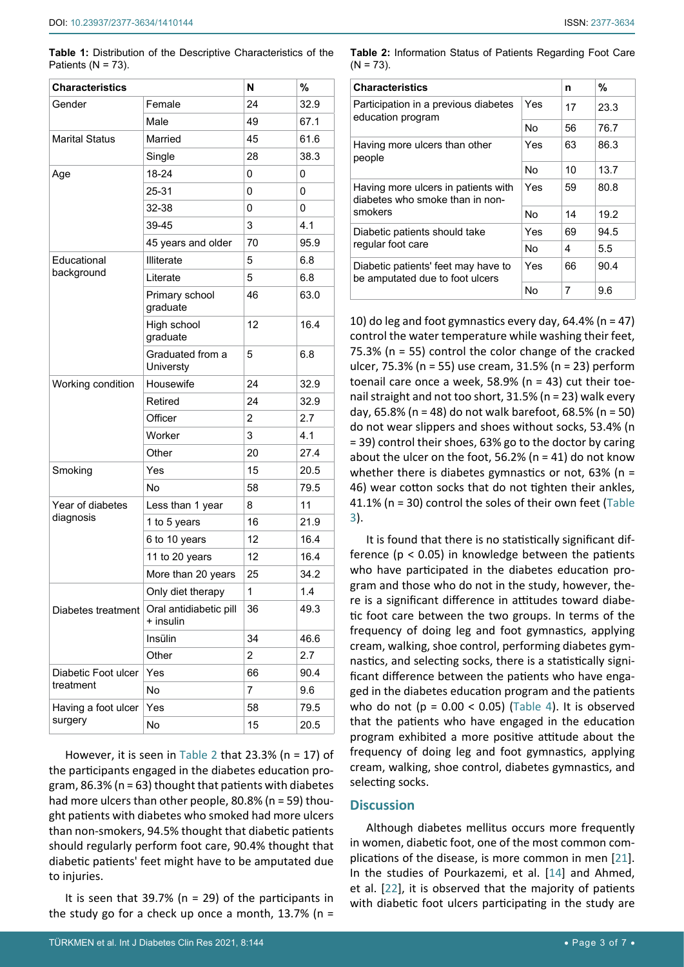<span id="page-2-0"></span>**Table 1:** Distribution of the Descriptive Characteristics of the Patients ( $N = 73$ ).

| <b>Characteristics</b> |                                     | N              | %    |  |
|------------------------|-------------------------------------|----------------|------|--|
| Gender                 | Female                              | 24             | 32.9 |  |
|                        | Male                                | 49             | 67.1 |  |
| <b>Marital Status</b>  | Married                             | 45             | 61.6 |  |
|                        | Single                              | 28             | 38.3 |  |
| Age                    | 18-24                               | 0              | 0    |  |
|                        | 25-31                               | 0              | 0    |  |
|                        | 32-38                               | 0              | 0    |  |
|                        | 39-45<br>3                          |                | 4.1  |  |
|                        | 45 years and older                  | 70             | 95.9 |  |
| Educational            | Illiterate                          | 5              | 6.8  |  |
| background             | Literate                            | 5              | 6.8  |  |
|                        | Primary school<br>graduate          | 46             | 63.0 |  |
|                        | High school<br>graduate             | 12             | 16.4 |  |
|                        | Graduated from a<br>Universty       | 5              | 6.8  |  |
| Working condition      | Housewife                           | 24             | 32.9 |  |
|                        | Retired                             | 24             | 32.9 |  |
|                        | Officer                             | $\overline{2}$ | 2.7  |  |
|                        | Worker                              | 3              | 4.1  |  |
|                        | Other                               | 20             | 27.4 |  |
| Smoking                | Yes                                 | 15             | 20.5 |  |
|                        | No                                  | 58             | 79.5 |  |
| Year of diabetes       | Less than 1 year                    | 8              | 11   |  |
| diagnosis              | 1 to 5 years                        | 16             | 21.9 |  |
|                        | 6 to 10 years                       | 12             | 16.4 |  |
|                        | 11 to 20 years                      | 12             | 16.4 |  |
|                        | More than 20 years                  | 25             | 34.2 |  |
|                        | Only diet therapy                   | $\overline{1}$ | 1.4  |  |
| Diabetes treatment     | Oral antidiabetic pill<br>+ insulin | 36             | 49.3 |  |
|                        | Insülin                             | 34             | 46.6 |  |
|                        | Other                               | $\overline{2}$ | 2.7  |  |
| Diabetic Foot ulcer    | Yes                                 | 66             | 90.4 |  |
| treatment              | No                                  | 7<br>9.6       |      |  |
| Having a foot ulcer    | Yes                                 | 58             | 79.5 |  |
| surgery                | No                                  | 15             | 20.5 |  |

However, it is seen in [Table 2](#page-2-1) that 23.3% (n = 17) of the participants engaged in the diabetes education program, 86.3% (n = 63) thought that patients with diabetes had more ulcers than other people, 80.8% (n = 59) thought patients with diabetes who smoked had more ulcers than non-smokers, 94.5% thought that diabetic patients should regularly perform foot care, 90.4% thought that diabetic patients' feet might have to be amputated due to injuries.

It is seen that  $39.7\%$  (n = 29) of the participants in the study go for a check up once a month,  $13.7\%$  (n =

<span id="page-2-1"></span>

| <b>Table 2:</b> Information Status of Patients Regarding Foot Care |  |  |  |
|--------------------------------------------------------------------|--|--|--|
| $(N = 73)$ .                                                       |  |  |  |

| <b>Characteristics</b>                                                 |     |    | %    |
|------------------------------------------------------------------------|-----|----|------|
| Participation in a previous diabetes<br>education program              | Yes | 17 | 23.3 |
|                                                                        | No  | 56 | 76.7 |
| Having more ulcers than other<br>people                                | Yes | 63 | 86.3 |
|                                                                        | No  | 10 | 13.7 |
| Having more ulcers in patients with<br>diabetes who smoke than in non- | Yes | 59 | 80.8 |
| smokers                                                                | No  | 14 | 19.2 |
| Diabetic patients should take                                          | Yes | 69 | 94.5 |
| regular foot care                                                      | No  | 4  | 5.5  |
| Diabetic patients' feet may have to<br>be amputated due to foot ulcers | Yes | 66 | 90.4 |
|                                                                        | No  | 7  | 9.6  |

10) do leg and foot gymnastics every day,  $64.4\%$  (n = 47) control the water temperature while washing their feet, 75.3% (n = 55) control the color change of the cracked ulcer, 75.3% (n = 55) use cream, 31.5% (n = 23) perform toenail care once a week, 58.9% ( $n = 43$ ) cut their toenail straight and not too short, 31.5% (n = 23) walk every day, 65.8% (n = 48) do not walk barefoot, 68.5% (n = 50) do not wear slippers and shoes without socks, 53.4% (n = 39) control their shoes, 63% go to the doctor by caring about the ulcer on the foot, 56.2% ( $n = 41$ ) do not know whether there is diabetes gymnastics or not,  $63\%$  (n = 46) wear cotton socks that do not tighten their ankles, 41.1% (n = 30) control the soles of their own feet [\(Table](#page-3-0)  [3](#page-3-0)).

It is found that there is no statistically significant difference ( $p < 0.05$ ) in knowledge between the patients who have participated in the diabetes education program and those who do not in the study, however, there is a significant difference in attitudes toward diabetic foot care between the two groups. In terms of the frequency of doing leg and foot gymnastics, applying cream, walking, shoe control, performing diabetes gymnastics, and selecting socks, there is a statistically significant difference between the patients who have engaged in the diabetes education program and the patients who do not ( $p = 0.00 < 0.05$ ) ([Table 4\)](#page-4-0). It is observed that the patients who have engaged in the education program exhibited a more positive attitude about the frequency of doing leg and foot gymnastics, applying cream, walking, shoe control, diabetes gymnastics, and selecting socks.

#### **Discussion**

Although diabetes mellitus occurs more frequently in women, diabetic foot, one of the most common complications of the disease, is more common in men [\[21\]](#page-6-12). In the studies of Pourkazemi, et al. [[14\]](#page-6-6) and Ahmed, et al. [\[22](#page-6-13)], it is observed that the majority of patients with diabetic foot ulcers participating in the study are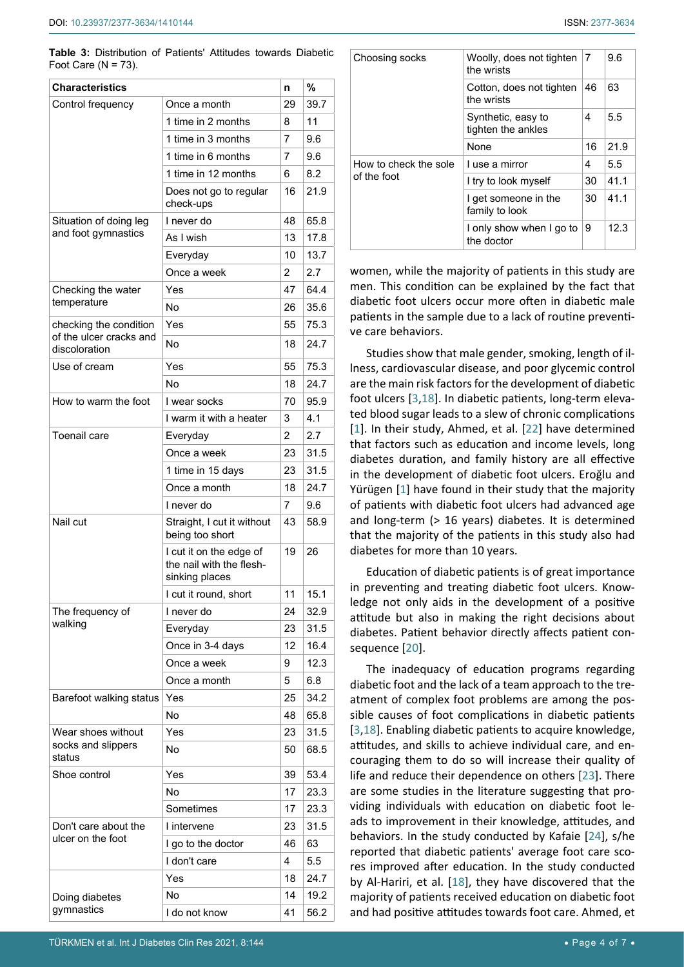<span id="page-3-0"></span>**Table 3:** Distribution of Patients' Attitudes towards Diabetic Foot Care  $(N = 73)$ .

| <b>Characteristics</b>                   |                                                                       | n              | %    |
|------------------------------------------|-----------------------------------------------------------------------|----------------|------|
| Control frequency                        | Once a month                                                          | 29             | 39.7 |
|                                          | 1 time in 2 months                                                    | 8              | 11   |
|                                          | 1 time in 3 months                                                    | 7              | 9.6  |
|                                          | 1 time in 6 months                                                    | 7              | 9.6  |
|                                          | 1 time in 12 months                                                   | 6              | 8.2  |
|                                          | Does not go to regular<br>check-ups                                   | 16             | 21.9 |
| Situation of doing leg                   | I never do                                                            | 48             | 65.8 |
| and foot gymnastics                      | As I wish                                                             | 13             | 17.8 |
|                                          | Everyday                                                              | 10             | 13.7 |
|                                          | Once a week                                                           | $\overline{2}$ | 2.7  |
| Checking the water                       | Yes                                                                   | 47             | 64.4 |
| temperature                              | No                                                                    | 26             | 35.6 |
| checking the condition                   | Yes                                                                   | 55             | 75.3 |
| of the ulcer cracks and<br>discoloration | No                                                                    | 18             | 24.7 |
| Use of cream                             | Yes                                                                   | 55             | 75.3 |
|                                          | No                                                                    | 18             | 24.7 |
| How to warm the foot                     | I wear socks                                                          | 70             | 95.9 |
|                                          | I warm it with a heater                                               | 3              | 4.1  |
| <b>Toenail care</b>                      | Everyday                                                              | 2              | 2.7  |
|                                          | Once a week                                                           | 23             | 31.5 |
|                                          | 1 time in 15 days                                                     | 23             | 31.5 |
|                                          | Once a month                                                          | 18             | 24.7 |
|                                          | I never do                                                            | 7              | 9.6  |
| Nail cut                                 | Straight, I cut it without<br>being too short                         | 43             | 58.9 |
|                                          | I cut it on the edge of<br>the nail with the flesh-<br>sinking places | 19             | 26   |
|                                          | I cut it round, short                                                 | 11             | 15.1 |
| The frequency of                         | I never do                                                            | 24             | 32.9 |
| walking                                  | Everyday                                                              | 23             | 31.5 |
|                                          | Once in 3-4 days                                                      | 12             | 16.4 |
|                                          | Once a week                                                           | 9              | 12.3 |
|                                          | Once a month                                                          | 5              | 6.8  |
| Barefoot walking status                  | Yes                                                                   | 25             | 34.2 |
|                                          | No                                                                    | 48             | 65.8 |
| Wear shoes without                       | Yes                                                                   | 23             | 31.5 |
| socks and slippers<br>status             | No                                                                    | 50             | 68.5 |
| Shoe control                             | Yes                                                                   | 39             | 53.4 |
|                                          | No                                                                    | 17             | 23.3 |
|                                          | Sometimes                                                             | 17             | 23.3 |
| Don't care about the                     | I intervene                                                           | 23             | 31.5 |
| ulcer on the foot                        | I go to the doctor                                                    | 46             | 63   |
|                                          | I don't care                                                          | 4              | 5.5  |
|                                          | Yes                                                                   | 18             | 24.7 |
| Doing diabetes                           | No                                                                    | 14             | 19.2 |
| gymnastics                               | I do not know                                                         | 41             | 56.2 |

| Choosing socks                       | Woolly, does not tighten<br>the wrists        | 7  | 9.6  |
|--------------------------------------|-----------------------------------------------|----|------|
|                                      | Cotton, does not tighten<br>the wrists        | 46 | 63   |
|                                      | 4<br>Synthetic, easy to<br>tighten the ankles |    | 5.5  |
|                                      | None                                          |    | 21.9 |
| How to check the sole<br>of the foot | I use a mirror                                | 4  | 5.5  |
|                                      | I try to look myself                          | 30 | 41.1 |
|                                      | I get someone in the<br>family to look        |    | 41.1 |
|                                      | I only show when I go to<br>the doctor        |    | 12.3 |

women, while the majority of patients in this study are men. This condition can be explained by the fact that diabetic foot ulcers occur more often in diabetic male patients in the sample due to a lack of routine preventive care behaviors.

Studies show that male gender, smoking, length of illness, cardiovascular disease, and poor glycemic control are the main risk factors for the development of diabetic foot ulcers [[3](#page-5-2),[18](#page-6-10)]. In diabetic patients, long-term elevated blood sugar leads to a slew of chronic complications [\[1\]](#page-5-0). In their study, Ahmed, et al. [[22\]](#page-6-13) have determined that factors such as education and income levels, long diabetes duration, and family history are all effective in the development of diabetic foot ulcers. Eroğlu and Yürügen [\[1\]](#page-5-0) have found in their study that the majority of patients with diabetic foot ulcers had advanced age and long-term (> 16 years) diabetes. It is determined that the majority of the patients in this study also had diabetes for more than 10 years.

Education of diabetic patients is of great importance in preventing and treating diabetic foot ulcers. Knowledge not only aids in the development of a positive attitude but also in making the right decisions about diabetes. Patient behavior directly affects patient consequence [\[20](#page-6-0)].

The inadequacy of education programs regarding diabetic foot and the lack of a team approach to the treatment of complex foot problems are among the possible causes of foot complications in diabetic patients [\[3](#page-5-2),[18\]](#page-6-10). Enabling diabetic patients to acquire knowledge, attitudes, and skills to achieve individual care, and encouraging them to do so will increase their quality of life and reduce their dependence on others [[23\]](#page-6-14). There are some studies in the literature suggesting that providing individuals with education on diabetic foot leads to improvement in their knowledge, attitudes, and behaviors. In the study conducted by Kafaie [\[24](#page-6-15)], s/he reported that diabetic patients' average foot care scores improved after education. In the study conducted by Al-Hariri, et al. [\[18\]](#page-6-10), they have discovered that the majority of patients received education on diabetic foot and had positive attitudes towards foot care. Ahmed, et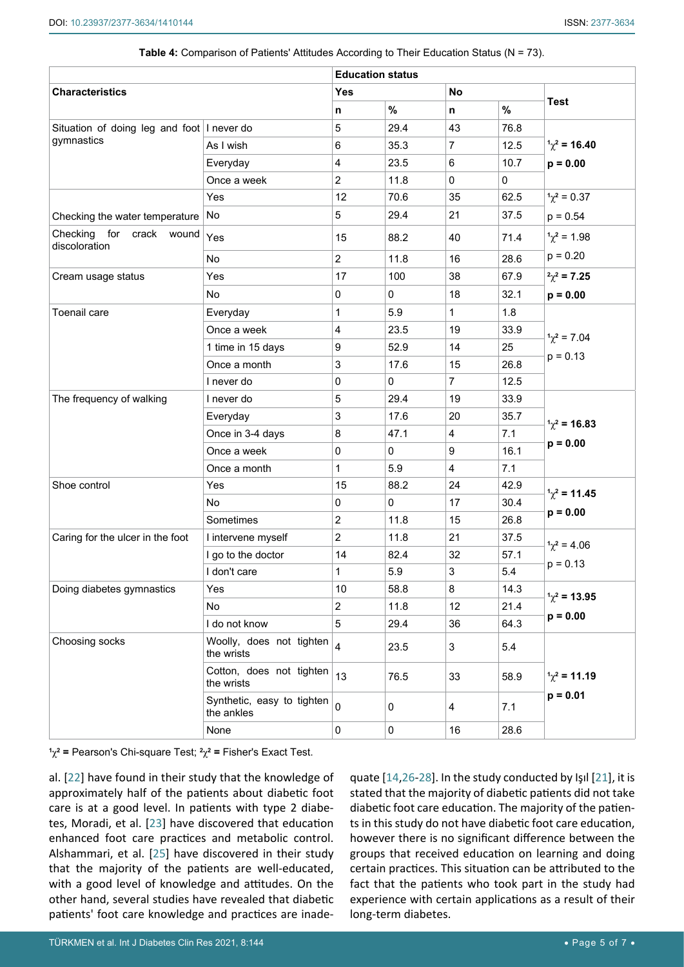|                                                          | <b>Education status</b>                  |                         |      |                |         |                     |
|----------------------------------------------------------|------------------------------------------|-------------------------|------|----------------|---------|---------------------|
| <b>Characteristics</b>                                   |                                          | <b>No</b><br><b>Yes</b> |      |                |         |                     |
|                                                          |                                          | n                       | $\%$ | n              | $\%$    | <b>Test</b>         |
| Situation of doing leg and foot I never do<br>gymnastics |                                          | 5                       | 29.4 | 43             | 76.8    |                     |
|                                                          | As I wish                                | 6                       | 35.3 | 7              | 12.5    | $1\chi^2$ = 16.40   |
|                                                          | Everyday                                 | 4                       | 23.5 | 6              | 10.7    | $p = 0.00$          |
|                                                          | Once a week                              | $\overline{2}$          | 11.8 | 0              | 0       |                     |
|                                                          | Yes                                      | 12                      | 70.6 | 35             | 62.5    | $1\chi^2 = 0.37$    |
| Checking the water temperature No                        |                                          | 5                       | 29.4 | 21             | 37.5    | $p = 0.54$          |
| for crack wound<br>Checking<br>discoloration             | Yes                                      | 15                      | 88.2 | 40             | 71.4    | $1\chi^2 = 1.98$    |
|                                                          | <b>No</b>                                | $\overline{2}$          | 11.8 | 16             | 28.6    | $p = 0.20$          |
| Cream usage status                                       | Yes                                      | 17                      | 100  | 38             | 67.9    | $\gamma^2 = 7.25$   |
|                                                          | No                                       | 0                       | 0    | 18             | 32.1    | $p = 0.00$          |
| Toenail care                                             | Everyday                                 | 1                       | 5.9  | $\mathbf 1$    | 1.8     |                     |
|                                                          | Once a week                              | 4                       | 23.5 | 19             | 33.9    |                     |
|                                                          | 1 time in 15 days                        | 9                       | 52.9 | 14             | 25      | $1\chi^2 = 7.04$    |
|                                                          | Once a month                             | 3                       | 17.6 | 15             | 26.8    | $p = 0.13$          |
|                                                          | I never do                               | 0                       | 0    | $\overline{7}$ | 12.5    |                     |
| The frequency of walking                                 | I never do                               | 5                       | 29.4 | 19             | 33.9    |                     |
|                                                          | Everyday                                 | 3                       | 17.6 | 20             | 35.7    | $1\chi^2$ = 16.83   |
|                                                          | Once in 3-4 days                         | 8                       | 47.1 | 4              | 7.1     |                     |
|                                                          | Once a week                              | 0                       | 0    | 9              | 16.1    | $p = 0.00$          |
|                                                          | Once a month                             | 1                       | 5.9  | 4              | 7.1     |                     |
| Shoe control                                             | Yes                                      | 15                      | 88.2 | 24             | 42.9    | $1\chi^2$ = 11.45   |
|                                                          | No                                       | 0                       | 0    | 17             | 30.4    |                     |
|                                                          | Sometimes                                | 2                       | 11.8 | 15             | 26.8    | $p = 0.00$          |
| Caring for the ulcer in the foot                         | I intervene myself                       | $\overline{c}$          | 11.8 | 21             | 37.5    | $1\gamma^2 = 4.06$  |
|                                                          | I go to the doctor                       | 14                      | 82.4 | 32             | 57.1    |                     |
|                                                          | I don't care                             | 1                       | 5.9  | 3              | $5.4\,$ | $p = 0.13$          |
| Doing diabetes gymnastics                                | Yes                                      | 10                      | 58.8 | 8              | 14.3    | $1\gamma^2 = 13.95$ |
|                                                          | No                                       | $\overline{2}$          | 11.8 | 12             | 21.4    | $p = 0.00$          |
|                                                          | I do not know                            | 5                       | 29.4 | 36             | 64.3    |                     |
| Choosing socks                                           | Woolly, does not tighten<br>the wrists   | $\overline{4}$          | 23.5 | 3              | 5.4     |                     |
|                                                          | Cotton, does not tighten<br>the wrists   | 13                      | 76.5 | 33             | 58.9    | $1\chi^2$ = 11.19   |
|                                                          | Synthetic, easy to tighten<br>the ankles | $\overline{0}$          | 0    | 4              | 7.1     | $p = 0.01$          |
|                                                          | None                                     | 0                       | 0    | 16             | 28.6    |                     |

#### <span id="page-4-0"></span>**Table 4:** Comparison of Patients' Attitudes According to Their Education Status (N = 73).

**1** χ**2 =** Pearson's Chi-square Test; **<sup>2</sup>** χ**2 =** Fisher's Exact Test.

al. [\[22](#page-6-13)] have found in their study that the knowledge of approximately half of the patients about diabetic foot care is at a good level. In patients with type 2 diabetes, Moradi, et al. [\[23](#page-6-14)] have discovered that education enhanced foot care practices and metabolic control. Alshammari, et al. [\[25](#page-6-18)] have discovered in their study that the majority of the patients are well-educated, with a good level of knowledge and attitudes. On the other hand, several studies have revealed that diabetic patients' foot care knowledge and practices are inadequate [\[14](#page-6-6),[26](#page-6-16)-[28\]](#page-6-17). In the study conducted by Işıl [\[21](#page-6-12)], it is stated that the majority of diabetic patients did not take diabetic foot care education. The majority of the patients in this study do not have diabetic foot care education, however there is no significant difference between the groups that received education on learning and doing certain practices. This situation can be attributed to the fact that the patients who took part in the study had experience with certain applications as a result of their long-term diabetes.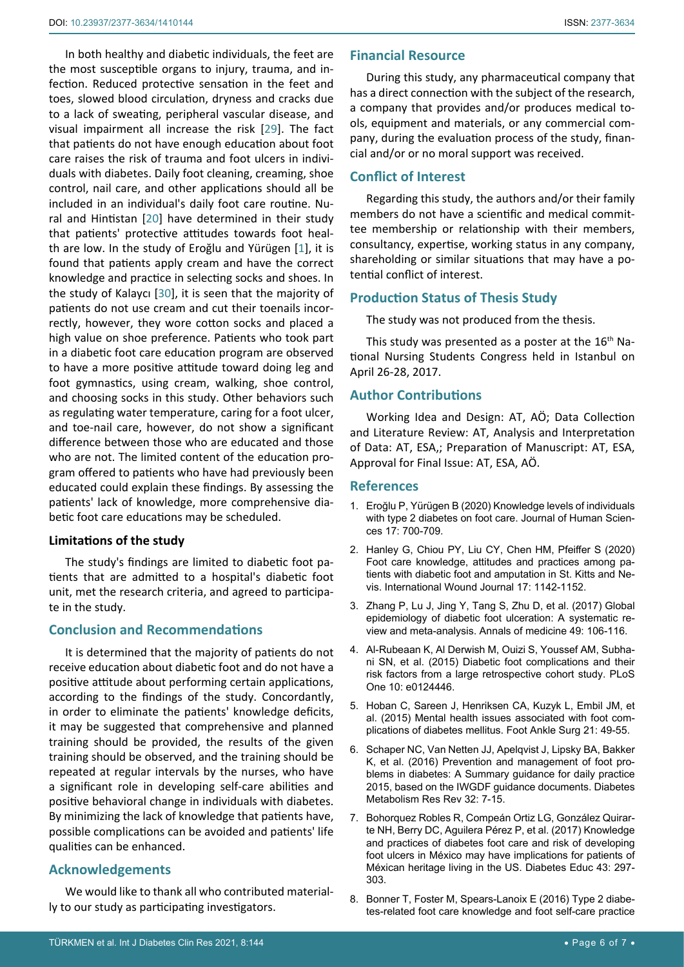In both healthy and diabetic individuals, the feet are the most susceptible organs to injury, trauma, and infection. Reduced protective sensation in the feet and toes, slowed blood circulation, dryness and cracks due to a lack of sweating, peripheral vascular disease, and visual impairment all increase the risk [\[29](#page-6-19)]. The fact that patients do not have enough education about foot care raises the risk of trauma and foot ulcers in individuals with diabetes. Daily foot cleaning, creaming, shoe control, nail care, and other applications should all be included in an individual's daily foot care routine. Nural and Hintistan [\[20](#page-6-0)] have determined in their study that patients' protective attitudes towards foot health are low. In the study of Eroğlu and Yürügen [[1](#page-5-0)], it is found that patients apply cream and have the correct knowledge and practice in selecting socks and shoes. In the study of Kalaycı [[30\]](#page-6-20), it is seen that the majority of patients do not use cream and cut their toenails incorrectly, however, they wore cotton socks and placed a high value on shoe preference. Patients who took part in a diabetic foot care education program are observed to have a more positive attitude toward doing leg and foot gymnastics, using cream, walking, shoe control, and choosing socks in this study. Other behaviors such as regulating water temperature, caring for a foot ulcer, and toe-nail care, however, do not show a significant difference between those who are educated and those who are not. The limited content of the education program offered to patients who have had previously been educated could explain these findings. By assessing the patients' lack of knowledge, more comprehensive diabetic foot care educations may be scheduled.

# **Limitations of the study**

The study's findings are limited to diabetic foot patients that are admitted to a hospital's diabetic foot unit, met the research criteria, and agreed to participate in the study.

# **Conclusion and Recommendations**

It is determined that the majority of patients do not receive education about diabetic foot and do not have a positive attitude about performing certain applications, according to the findings of the study. Concordantly, in order to eliminate the patients' knowledge deficits, it may be suggested that comprehensive and planned training should be provided, the results of the given training should be observed, and the training should be repeated at regular intervals by the nurses, who have a significant role in developing self-care abilities and positive behavioral change in individuals with diabetes. By minimizing the lack of knowledge that patients have, possible complications can be avoided and patients' life qualities can be enhanced.

# **Acknowledgements**

We would like to thank all who contributed materially to our study as participating investigators.

## **Financial Resource**

During this study, any pharmaceutical company that has a direct connection with the subject of the research, a company that provides and/or produces medical tools, equipment and materials, or any commercial company, during the evaluation process of the study, financial and/or or no moral support was received.

# **Conflict of Interest**

Regarding this study, the authors and/or their family members do not have a scientific and medical committee membership or relationship with their members, consultancy, expertise, working status in any company, shareholding or similar situations that may have a potential conflict of interest.

# **Production Status of Thesis Study**

The study was not produced from the thesis.

This study was presented as a poster at the  $16<sup>th</sup>$  National Nursing Students Congress held in Istanbul on April 26-28, 2017.

# **Author Contributions**

Working Idea and Design: AT, AÖ; Data Collection and Literature Review: AT, Analysis and Interpretation of Data: AT, ESA,; Preparation of Manuscript: AT, ESA, Approval for Final Issue: AT, ESA, AÖ.

# **References**

- <span id="page-5-0"></span>1. Eroğlu P[, Yürügen B \(2020\) Knowledge levels of individuals](https://www.j-humansciences.com/ojs/index.php/IJHS/article/view/5467)  [with type 2 diabetes on foot care.](https://www.j-humansciences.com/ojs/index.php/IJHS/article/view/5467) Journal of Human Scien[ces 17: 700-709.](https://www.j-humansciences.com/ojs/index.php/IJHS/article/view/5467)
- <span id="page-5-1"></span>2. [Hanley G, Chiou PY, Liu CY, Chen HM, Pfeiffer S \(2020\)](https://www.sciencegate.app/document/10.1111/iwj.13446)  [Foot care knowledge, attitudes and practices among pa](https://www.sciencegate.app/document/10.1111/iwj.13446)[tients with diabetic foot and amputation in St. Kitts and Ne](https://www.sciencegate.app/document/10.1111/iwj.13446)vis. [International Wound Journal 17: 1142-1152.](https://www.sciencegate.app/document/10.1111/iwj.13446)
- <span id="page-5-2"></span>3. [Zhang P, Lu J, Jing Y, Tang S, Zhu D, et al. \(2017\) Global](https://pubmed.ncbi.nlm.nih.gov/27585063/)  [epidemiology of diabetic foot ulceration: A systematic re](https://pubmed.ncbi.nlm.nih.gov/27585063/)[view and meta-analysis.](https://pubmed.ncbi.nlm.nih.gov/27585063/) Annals of medicine 49: 106-116.
- <span id="page-5-3"></span>4. [Al-Rubeaan K, Al Derwish M, Ouizi S, Youssef AM, Subha](https://pubmed.ncbi.nlm.nih.gov/25946144/)[ni SN, et al. \(2015\) Diabetic foot complications and their](https://pubmed.ncbi.nlm.nih.gov/25946144/)  [risk factors from a large retrospective cohort study.](https://pubmed.ncbi.nlm.nih.gov/25946144/) PLoS One [10: e0124446.](https://pubmed.ncbi.nlm.nih.gov/25946144/)
- <span id="page-5-4"></span>5. [Hoban C, Sareen J, Henriksen CA, Kuzyk L, Embil JM, et](https://pubmed.ncbi.nlm.nih.gov/25682407/)  [al. \(2015\) Mental health issues associated with foot com](https://pubmed.ncbi.nlm.nih.gov/25682407/)[plications of diabetes mellitus.](https://pubmed.ncbi.nlm.nih.gov/25682407/) Foot Ankle Surg 21: 49-55.
- <span id="page-5-5"></span>6. [Schaper NC, Van Netten JJ, Apelqvist J, Lipsky BA, Bakker](https://pubmed.ncbi.nlm.nih.gov/26335366/)  [K, et al. \(2016\) Prevention and management of foot pro](https://pubmed.ncbi.nlm.nih.gov/26335366/)[blems in diabetes: A Summary guidance for daily practice](https://pubmed.ncbi.nlm.nih.gov/26335366/)  [2015, based on the IWGDF guidance documents.](https://pubmed.ncbi.nlm.nih.gov/26335366/) Diabetes [Metabolism Res Rev 32: 7-15.](https://pubmed.ncbi.nlm.nih.gov/26335366/)
- <span id="page-5-6"></span>7. [Bohorquez Robles R, Compeán Ortiz LG, González Quirar](https://pubmed.ncbi.nlm.nih.gov/28459176/)[te NH, Berry DC, Aguilera Pérez P, et al. \(2017\) Knowledge](https://pubmed.ncbi.nlm.nih.gov/28459176/)  [and practices of diabetes foot care and risk of developing](https://pubmed.ncbi.nlm.nih.gov/28459176/)  [foot ulcers in México may have implications for patients of](https://pubmed.ncbi.nlm.nih.gov/28459176/)  [Méxican heritage living in the US.](https://pubmed.ncbi.nlm.nih.gov/28459176/) Diabetes Educ 43: 297- [303.](https://pubmed.ncbi.nlm.nih.gov/28459176/)
- <span id="page-5-7"></span>8. [Bonner T, Foster M, Spears-Lanoix E \(2016\) Type 2 diabe](https://pubmed.ncbi.nlm.nih.gov/26899439/)[tes-related foot care knowledge and foot self-care practice](https://pubmed.ncbi.nlm.nih.gov/26899439/)